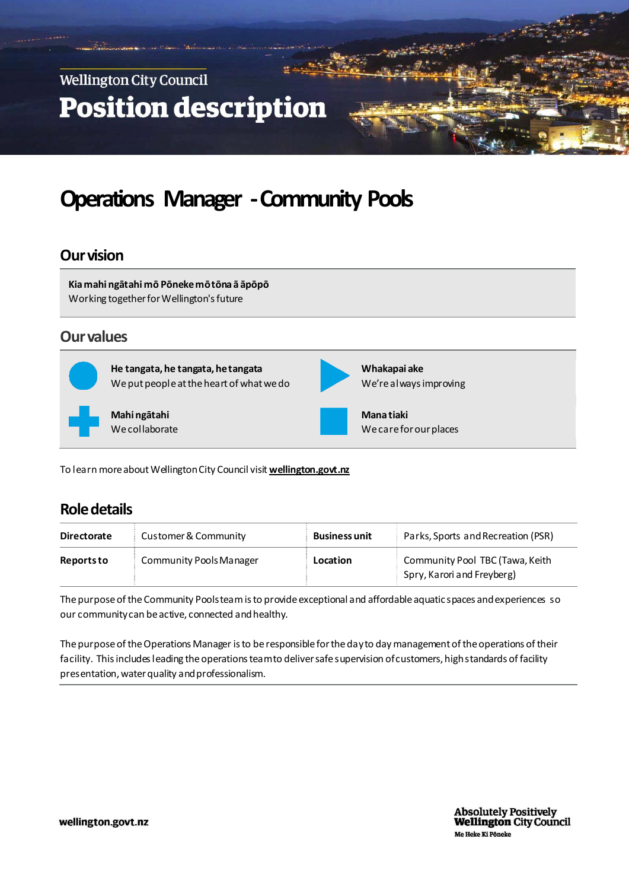

# **Operations Manager -Community Pools**

#### **Our vision**

**Kia mahi ngātahi mō Pōneke mō tōna ā āpōpō** Working together for Wellington's future

#### **Our values**



**He tangata, he tangata, he tangata**  We put people at the heart of what we do

**Mahi ngātahi**  We collaborate



**Whakapai ake**  We're always improving

**Mana tiaki**  We care for our places

To learn more about Wellington City Council visit **[wellington.govt.nz](http://www.wcc.govt.nz/)**

#### **Role details**

| <b>Directorate</b> | Customer & Community           | <b>Business unit</b> | Parks, Sports and Recreation (PSR)                            |
|--------------------|--------------------------------|----------------------|---------------------------------------------------------------|
| <b>Reports to</b>  | <b>Community Pools Manager</b> | Location             | Community Pool TBC (Tawa, Keith<br>Spry, Karori and Freyberg) |

The purpose of the Community Pools team isto provide exceptional and affordable aquatic spaces and experiences so our community can be active, connected and healthy.

The purpose of the Operations Manager is to be responsible for the day to day management of the operations of their facility. This includes leading the operations team to deliver safe supervision of customers, high standards of facility presentation, water quality and professionalism.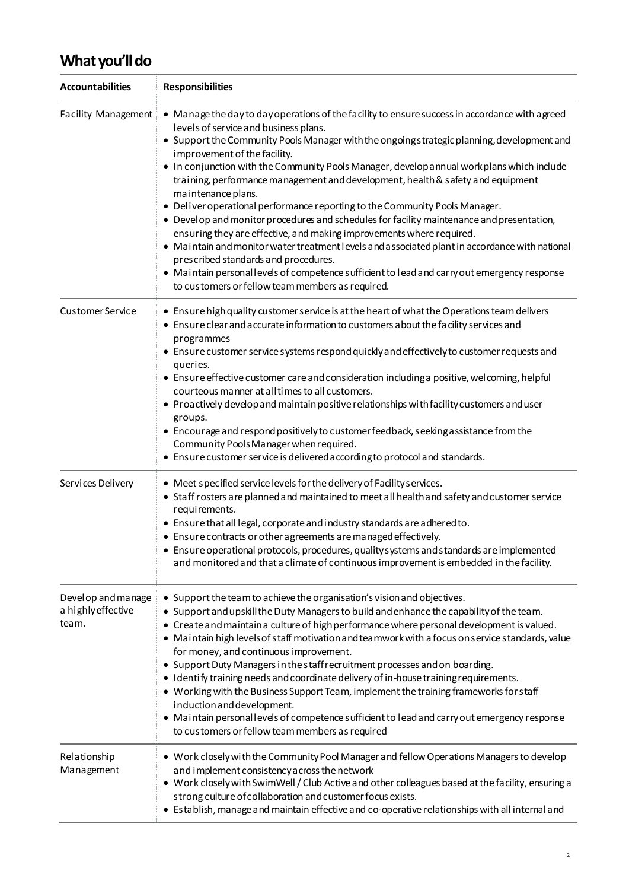### **What you'll do**

| <b>Accountabilities</b>                            | <b>Responsibilities</b>                                                                                                                                                                                                                                                                                                                                                                                                                                                                                                                                                                                                                                                                                                                                                                                                                                                                                                                                                                                                         |  |  |
|----------------------------------------------------|---------------------------------------------------------------------------------------------------------------------------------------------------------------------------------------------------------------------------------------------------------------------------------------------------------------------------------------------------------------------------------------------------------------------------------------------------------------------------------------------------------------------------------------------------------------------------------------------------------------------------------------------------------------------------------------------------------------------------------------------------------------------------------------------------------------------------------------------------------------------------------------------------------------------------------------------------------------------------------------------------------------------------------|--|--|
| <b>Facility Management</b>                         | • Manage the day to day operations of the facility to ensure success in accordance with agreed<br>levels of service and business plans.<br>• Support the Community Pools Manager with the ongoing strategic planning, development and<br>improvement of the facility.<br>. In conjunction with the Community Pools Manager, develop annual work plans which include<br>training, performance management and development, health & safety and equipment<br>maintenance plans.<br>• Deliver operational performance reporting to the Community Pools Manager.<br>• Devel op and monitor procedures and schedules for facility maintenance and presentation,<br>ensuring they are effective, and making improvements where required.<br>• Maintain and monitor water treatment levels and associated plant in accordance with national<br>prescribed standards and procedures.<br>• Maintain personal levels of competence sufficient to lead and carry out emergency response<br>to customers or fellow team members as required. |  |  |
| <b>Customer Service</b>                            | • Ensure high quality customer service is at the heart of what the Operations team delivers<br>• Ensure clear and accurate information to customers about the facility services and<br>programmes<br>• Ensure customer service systems respond quickly and effectively to customer requests and<br>queries.<br>• Ensure effective customer care and consideration including a positive, wel coming, helpful<br>courteous manner at all times to all customers.<br>• Proactively develop and maintain positive relationships with facility customers and user<br>groups.<br>• Encourage and respond positively to customer feedback, seeking assistance from the<br>Community Pools Manager when required.<br>• Ensure customer service is delivered according to protocol and standards.                                                                                                                                                                                                                                        |  |  |
| Services Delivery                                  | • Meet specified service levels for the delivery of Facility services.<br>• Staff rosters are planned and maintained to meet all health and safety and customer service<br>requirements.<br>. Ensure that all legal, corporate and industry standards are adhered to.<br>• Ensure contracts or other agreements are managed effectively.<br>• Ensure operational protocols, procedures, quality systems and standards are implemented<br>and monitored and that a climate of continuous improvement is embedded in the facility.                                                                                                                                                                                                                                                                                                                                                                                                                                                                                                |  |  |
| Devel op and manage<br>a highly effective<br>team. | • Support the team to achieve the organisation's vision and objectives.<br>• Support and upskill the Duty Managers to build and enhance the capability of the team.<br>• Create and maintain a culture of high performance where personal development is valued.<br>• Maintain high levels of staff motivation and teamwork with a focus on service standards, value<br>for money, and continuous improvement.<br>• Support Duty Managers in the staff recruitment processes and on boarding.<br>· Identify training needs and coordinate delivery of in-house training requirements.<br>• Working with the Business Support Team, implement the training frameworks for staff<br>induction and development.<br>• Maintain personal levels of competence sufficient to lead and carry out emergency response<br>to customers or fellow team members as required                                                                                                                                                                 |  |  |
| Relationship<br>Management                         | • Work closely with the Community Pool Manager and fellow Operations Managers to develop<br>and implement consistency across the network<br>• Work closely with SwimWell / Club Active and other colleagues based at the facility, ensuring a<br>strong culture of collaboration and customer focus exists.<br>• Establish, manage and maintain effective and co-operative relationships with all internal and                                                                                                                                                                                                                                                                                                                                                                                                                                                                                                                                                                                                                  |  |  |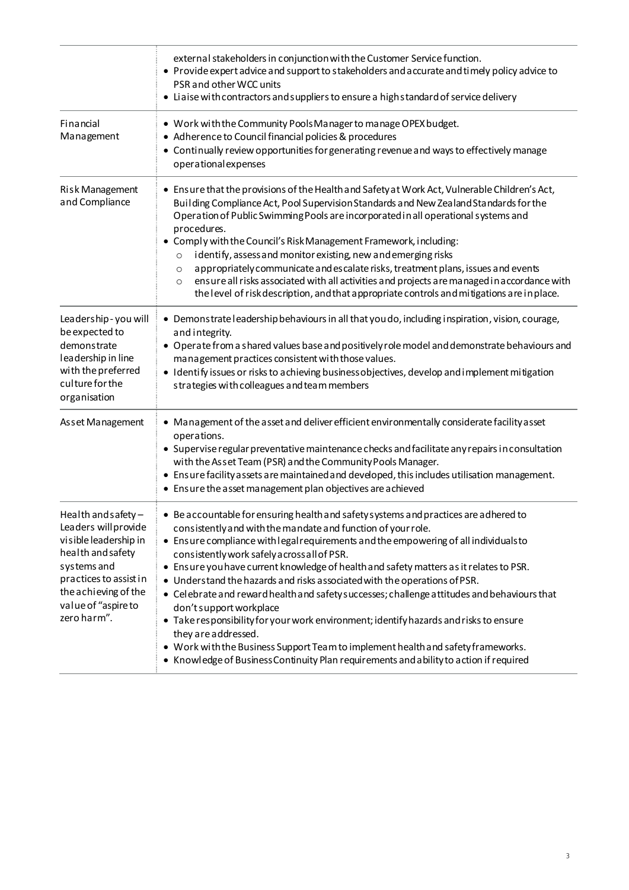|                                                                                                                                                                                                  | external stakeholders in conjunction with the Customer Service function.<br>• Provide expert advice and support to stakeholders and accurate and timely policy advice to<br>PSR and other WCC units<br>• Liaise with contractors and suppliers to ensure a high standard of service delivery                                                                                                                                                                                                                                                                                                                                                                                                                                                                                                                                                                                                 |  |  |
|--------------------------------------------------------------------------------------------------------------------------------------------------------------------------------------------------|----------------------------------------------------------------------------------------------------------------------------------------------------------------------------------------------------------------------------------------------------------------------------------------------------------------------------------------------------------------------------------------------------------------------------------------------------------------------------------------------------------------------------------------------------------------------------------------------------------------------------------------------------------------------------------------------------------------------------------------------------------------------------------------------------------------------------------------------------------------------------------------------|--|--|
| Financial<br>Management                                                                                                                                                                          | • Work with the Community Pools Manager to manage OPEX budget.<br>• Adherence to Council financial policies & procedures<br>• Continually review opportunities for generating revenue and ways to effectively manage<br>operational expenses                                                                                                                                                                                                                                                                                                                                                                                                                                                                                                                                                                                                                                                 |  |  |
| Risk Management<br>and Compliance                                                                                                                                                                | • Ensure that the provisions of the Health and Safety at Work Act, Vulnerable Children's Act,<br>Building Compliance Act, Pool Supervision Standards and New Zealand Standards for the<br>Operation of Public Swimming Pools are incorporated in all operational systems and<br>procedures.<br>• Comply with the Council's Risk Management Framework, including:<br>identify, assessand monitor existing, new and emerging risks<br>$\circ$<br>appropriately communicate and escalate risks, treatment plans, issues and events<br>$\circ$<br>ensure all risks associated with all activities and projects are managed in accordance with<br>$\circ$<br>the level of risk description, and that appropriate controls and mitigations are in place.                                                                                                                                           |  |  |
| Leadership - you will<br>be expected to<br>demonstrate<br>leadership in line<br>with the preferred<br>culture for the<br>organisation                                                            | · Demonstrate leadership behaviours in all that you do, including inspiration, vision, courage,<br>and integrity.<br>• Operate from a shared values base and positively role model and demonstrate behaviours and<br>management practices consistent with those values.<br>• Identify issues or risks to achieving business objectives, develop and implement mitigation<br>strategies with colleagues and team members                                                                                                                                                                                                                                                                                                                                                                                                                                                                      |  |  |
| Asset Management                                                                                                                                                                                 | • Management of the asset and deliver efficient environmentally considerate facility asset<br>operations.<br>• Supervise regular preventative maintenance checks and facilitate any repairs in consultation<br>with the Asset Team (PSR) and the Community Pools Manager.<br>• Ensure facility assets are maintained and developed, this includes utilisation management.<br>• Ensure the asset management plan objectives are achieved                                                                                                                                                                                                                                                                                                                                                                                                                                                      |  |  |
| Health and safety -<br>Leaders will provide<br>visible leadership in<br>health and safety<br>systems and<br>practices to assist in<br>the achieving of the<br>value of "aspire to<br>zero harm". | • Be accountable for ensuring health and safety systems and practices are adhered to<br>consistently and with the mandate and function of your role.<br>• Ensure compliance with legal requirements and the empowering of all individuals to<br>consistently work safely a cross all of PSR.<br>• Ensure you have current knowledge of health and safety matters as it relates to PSR.<br>• Understand the hazards and risks associated with the operations of PSR.<br>• Celebrate and reward health and safety successes; challenge attitudes and behaviours that<br>don't support workplace<br>• Take responsibility for your work environment; identify hazards and risks to ensure<br>they are addressed.<br>• Work with the Business Support Team to implement health and safety frameworks.<br>• Knowledge of Business Continuity Plan requirements and a bility to action if required |  |  |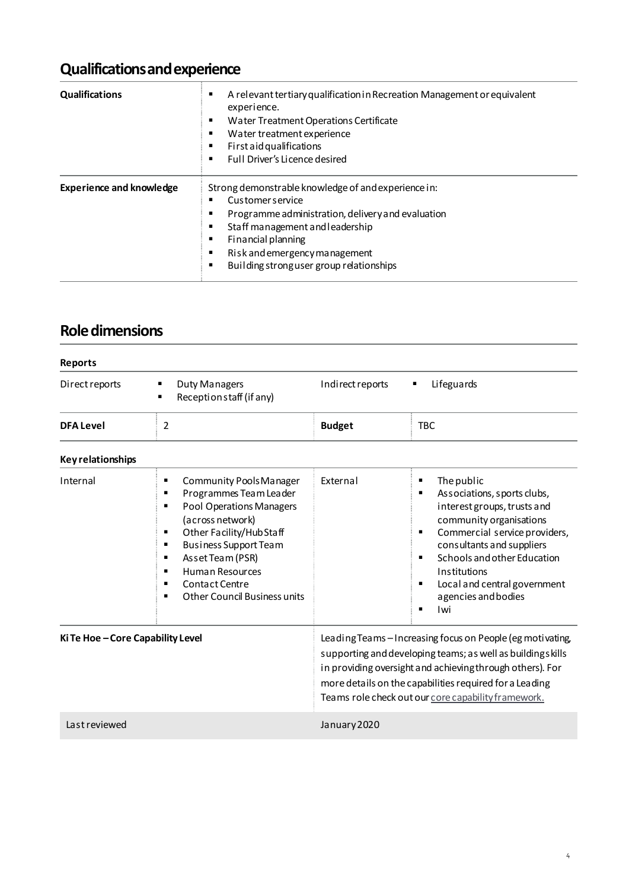# **Qualificationsand experience**

| <b>Qualifications</b>           | A relevant tertiary qualification in Recreation Management or equivalent<br>experience.<br>Water Treatment Operations Certificate<br>Water treatment experience<br>First aid qualifications<br>Full Driver's Licence desired                                                   |  |
|---------------------------------|--------------------------------------------------------------------------------------------------------------------------------------------------------------------------------------------------------------------------------------------------------------------------------|--|
| <b>Experience and knowledge</b> | Strong demonstrable knowledge of and experience in:<br><b>Customer service</b><br>Programme administration, delivery and evaluation<br>Staff management and leadership<br>Financial planning<br>Risk and emergency management<br>Building strong user group relationships<br>٠ |  |

### **Role dimensions**

| <b>Reports</b>                  |                                                                                                                                                                                                                                                                                                                                            |                                                                                                                                                                                                                                                                                                        |                                                                                                                                                                                                                                                                                                                           |
|---------------------------------|--------------------------------------------------------------------------------------------------------------------------------------------------------------------------------------------------------------------------------------------------------------------------------------------------------------------------------------------|--------------------------------------------------------------------------------------------------------------------------------------------------------------------------------------------------------------------------------------------------------------------------------------------------------|---------------------------------------------------------------------------------------------------------------------------------------------------------------------------------------------------------------------------------------------------------------------------------------------------------------------------|
| Direct reports                  | <b>Duty Managers</b><br>п<br>Reception staff (if any)                                                                                                                                                                                                                                                                                      | Indirect reports                                                                                                                                                                                                                                                                                       | Lifeguards                                                                                                                                                                                                                                                                                                                |
| <b>DFA Level</b>                | 2                                                                                                                                                                                                                                                                                                                                          | <b>Budget</b>                                                                                                                                                                                                                                                                                          | <b>TBC</b>                                                                                                                                                                                                                                                                                                                |
| <b>Key relationships</b>        |                                                                                                                                                                                                                                                                                                                                            |                                                                                                                                                                                                                                                                                                        |                                                                                                                                                                                                                                                                                                                           |
| Internal                        | Community Pools Manager<br>٠<br>Programmes Team Leader<br>п<br><b>Pool Operations Managers</b><br>$\blacksquare$<br>(across network)<br>Other Facility/Hub Staff<br>٠<br>Business Support Team<br>٠<br>Asset Team (PSR)<br>٠<br>Human Resources<br>п<br>Contact Centre<br>$\blacksquare$<br>Other Council Business units<br>$\blacksquare$ | Fxternal                                                                                                                                                                                                                                                                                               | The public<br>п<br>Associations, sports clubs,<br>п<br>interest groups, trusts and<br>community organisations<br>Commercial service providers,<br>п<br>consultants and suppliers<br>Schools and other Education<br>П<br>Institutions<br>Local and central government<br>п<br>agencies and bodies<br>Iwi<br>$\blacksquare$ |
| Ki Te Hoe-Core Capability Level |                                                                                                                                                                                                                                                                                                                                            | Leading Teams-Increasing focus on People (eg motivating,<br>supporting and developing teams; as well as buildings kills<br>in providing oversight and achieving through others). For<br>more details on the capabilities required for a Leading<br>Teams role check out our core capability framework. |                                                                                                                                                                                                                                                                                                                           |
| Lastreviewed                    |                                                                                                                                                                                                                                                                                                                                            | January 2020                                                                                                                                                                                                                                                                                           |                                                                                                                                                                                                                                                                                                                           |